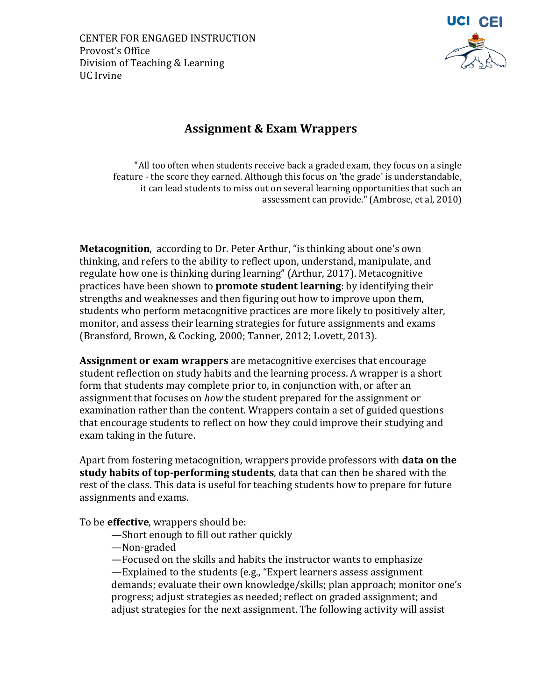CENTER FOR ENGAGED INSTRUCTION Provost's Office Division of Teaching & Learning UC Irvine



# **Assignment & Exam Wrappers**

"All too often when students receive back a graded exam, they focus on a single feature - the score they earned. Although this focus on 'the grade' is understandable, it can lead students to miss out on several learning opportunities that such an assessment can provide." (Ambrose, et al, 2010)

**Metacognition**, according to Dr. Peter Arthur, "is thinking about one's own thinking, and refers to the ability to reflect upon, understand, manipulate, and regulate how one is thinking during learning" (Arthur, 2017). Metacognitive practices have been shown to **promote student learning**: by identifying their strengths and weaknesses and then figuring out how to improve upon them, students who perform metacognitive practices are more likely to positively alter, monitor, and assess their learning strategies for future assignments and exams (Bransford, Brown, & Cocking, 2000; Tanner, 2012; Lovett, 2013).

**Assignment or exam wrappers** are metacognitive exercises that encourage student reflection on study habits and the learning process. A wrapper is a short form that students may complete prior to, in conjunction with, or after an assignment that focuses on *how* the student prepared for the assignment or examination rather than the content. Wrappers contain a set of guided questions that encourage students to reflect on how they could improve their studying and exam taking in the future.

Apart from fostering metacognition, wrappers provide professors with **data on the study habits of top-performing students**, data that can then be shared with the rest of the class. This data is useful for teaching students how to prepare for future assignments and exams.

To be **effective**, wrappers should be:

- —Short enough to fill out rather quickly
- —Non-graded

—Focused on the skills and habits the instructor wants to emphasize —Explained to the students (e.g., "Expert learners assess assignment

demands; evaluate their own knowledge/skills; plan approach; monitor one's progress; adjust strategies as needed; reflect on graded assignment; and adjust strategies for the next assignment. The following activity will assist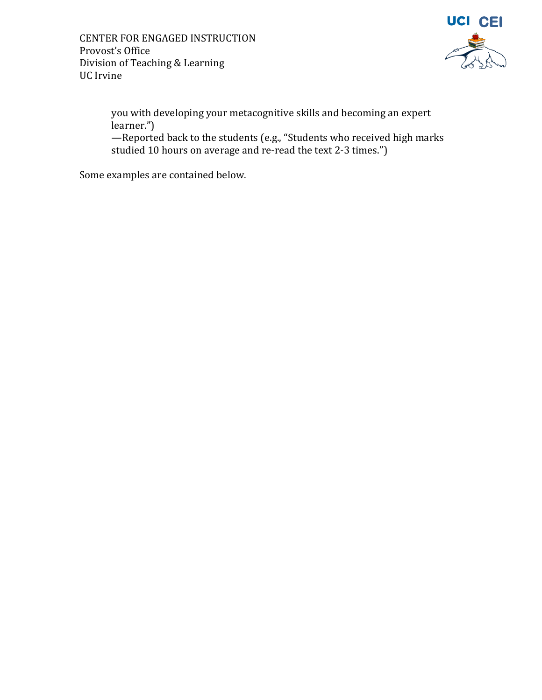

you with developing your metacognitive skills and becoming an expert learner.")

—Reported back to the students (e.g., "Students who received high marks studied 10 hours on average and re-read the text 2-3 times.")

Some examples are contained below.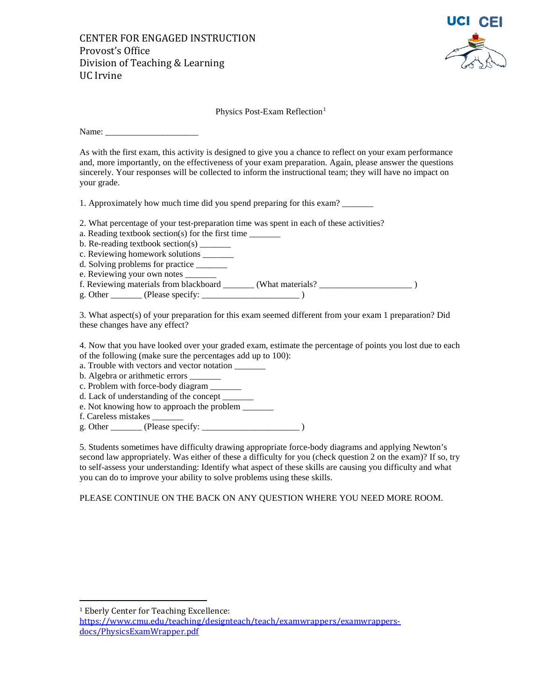CENTER FOR ENGAGED INSTRUCTION Provost's Office Division of Teaching & Learning UC Irvine



Physics Post-Exam Reflection<sup>[1](#page-2-0)</sup>

Name:

As with the first exam, this activity is designed to give you a chance to reflect on your exam performance and, more importantly, on the effectiveness of your exam preparation. Again, please answer the questions sincerely. Your responses will be collected to inform the instructional team; they will have no impact on your grade.

1. Approximately how much time did you spend preparing for this exam?

- 2. What percentage of your test-preparation time was spent in each of these activities?
- a. Reading textbook section(s) for the first time \_\_\_\_\_\_\_\_\_
- b. Re-reading textbook section(s)  $\frac{1}{\sqrt{2}}$
- c. Reviewing homework solutions
- d. Solving problems for practice
- e. Reviewing your own notes
- f. Reviewing materials from blackboard \_\_\_\_\_\_\_ (What materials? \_\_\_\_\_\_\_\_\_\_\_\_\_\_\_\_\_\_\_\_\_ )
- g. Other \_\_\_\_\_\_\_ (Please specify: \_\_\_\_\_\_\_\_\_\_\_\_\_\_\_\_\_\_\_\_\_\_ )

3. What aspect(s) of your preparation for this exam seemed different from your exam 1 preparation? Did these changes have any effect?

4. Now that you have looked over your graded exam, estimate the percentage of points you lost due to each of the following (make sure the percentages add up to 100):

- a. Trouble with vectors and vector notation
- b. Algebra or arithmetic errors \_\_\_\_\_\_\_
- c. Problem with force-body diagram \_\_\_\_\_\_\_
- d. Lack of understanding of the concept
- e. Not knowing how to approach the problem
- f. Careless mistakes \_\_\_\_\_\_\_
- g. Other  $(Please specify:$

5. Students sometimes have difficulty drawing appropriate force-body diagrams and applying Newton's second law appropriately. Was either of these a difficulty for you (check question 2 on the exam)? If so, try to self-assess your understanding: Identify what aspect of these skills are causing you difficulty and what you can do to improve your ability to solve problems using these skills.

PLEASE CONTINUE ON THE BACK ON ANY QUESTION WHERE YOU NEED MORE ROOM.

<span id="page-2-0"></span> <sup>1</sup> Eberly Center for Teaching Excellence:

[https://www.cmu.edu/teaching/designteach/teach/examwrappers/examwrappers](https://www.cmu.edu/teaching/designteach/teach/examwrappers/examwrappers-docs/PhysicsExamWrapper.pdf)[docs/PhysicsExamWrapper.pdf](https://www.cmu.edu/teaching/designteach/teach/examwrappers/examwrappers-docs/PhysicsExamWrapper.pdf)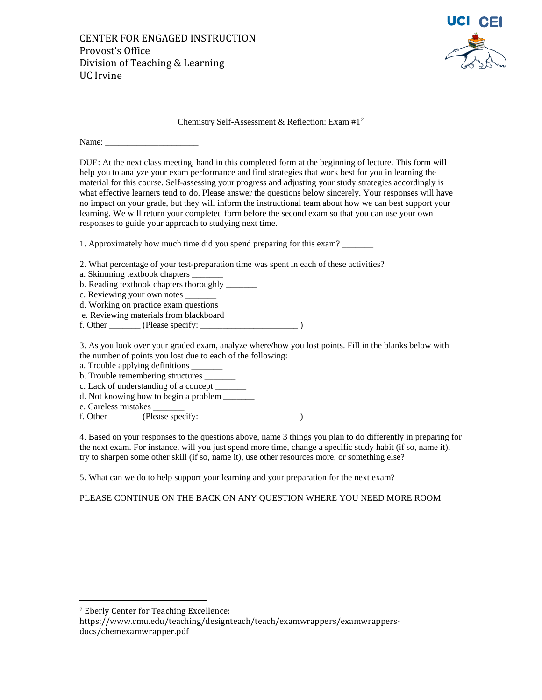

#### Chemistry Self-Assessment & Reflection: Exam #1[2](#page-3-0)

Name: \_\_\_\_\_\_\_\_\_\_\_\_\_\_\_\_\_\_\_\_\_

DUE: At the next class meeting, hand in this completed form at the beginning of lecture. This form will help you to analyze your exam performance and find strategies that work best for you in learning the material for this course. Self-assessing your progress and adjusting your study strategies accordingly is what effective learners tend to do. Please answer the questions below sincerely. Your responses will have no impact on your grade, but they will inform the instructional team about how we can best support your learning. We will return your completed form before the second exam so that you can use your own responses to guide your approach to studying next time.

1. Approximately how much time did you spend preparing for this exam? \_\_\_\_\_\_\_\_\_\_

2. What percentage of your test-preparation time was spent in each of these activities?

a. Skimming textbook chapters

b. Reading textbook chapters thoroughly

- c. Reviewing your own notes \_\_\_\_\_\_\_
- d. Working on practice exam questions
- e. Reviewing materials from blackboard
- f. Other \_\_\_\_\_\_\_ (Please specify: \_\_\_\_\_\_\_\_\_\_\_\_\_\_\_\_\_\_\_\_\_\_ )

3. As you look over your graded exam, analyze where/how you lost points. Fill in the blanks below with the number of points you lost due to each of the following:

- a. Trouble applying definitions
- b. Trouble remembering structures \_\_\_\_\_\_\_
- c. Lack of understanding of a concept \_\_\_\_\_\_\_
- d. Not knowing how to begin a problem
- e. Careless mistakes \_\_\_\_\_\_\_
- f. Other \_\_\_\_\_\_\_ (Please specify: \_\_\_\_\_\_\_\_\_\_\_\_\_\_\_\_\_\_\_\_\_\_ )

4. Based on your responses to the questions above, name 3 things you plan to do differently in preparing for the next exam. For instance, will you just spend more time, change a specific study habit (if so, name it), try to sharpen some other skill (if so, name it), use other resources more, or something else?

5. What can we do to help support your learning and your preparation for the next exam?

PLEASE CONTINUE ON THE BACK ON ANY QUESTION WHERE YOU NEED MORE ROOM

https://www.cmu.edu/teaching/designteach/teach/examwrappers/examwrappersdocs/chemexamwrapper.pdf

<span id="page-3-0"></span> <sup>2</sup> Eberly Center for Teaching Excellence: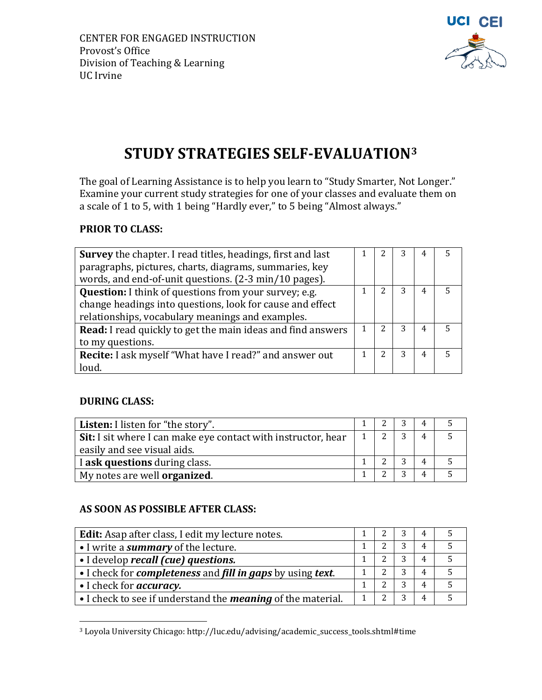

# **STUDY STRATEGIES SELF-EVALUATION[3](#page-4-0)**

The goal of Learning Assistance is to help you learn to "Study Smarter, Not Longer." Examine your current study strategies for one of your classes and evaluate them on a scale of 1 to 5, with 1 being "Hardly ever," to 5 being "Almost always."

## **PRIOR TO CLASS:**

| <b>Survey</b> the chapter. I read titles, headings, first and last  | 3 | 4 | 5 |
|---------------------------------------------------------------------|---|---|---|
|                                                                     |   |   |   |
| paragraphs, pictures, charts, diagrams, summaries, key              |   |   |   |
| words, and end-of-unit questions. (2-3 min/10 pages).               |   |   |   |
| Question: I think of questions from your survey; e.g.<br>າ          | 3 | 4 |   |
| change headings into questions, look for cause and effect           |   |   |   |
| relationships, vocabulary meanings and examples.                    |   |   |   |
| <b>Read:</b> I read quickly to get the main ideas and find answers  | 3 | 4 |   |
| to my questions.                                                    |   |   |   |
| <b>Recite:</b> I ask myself "What have I read?" and answer out<br>2 | 3 | 4 |   |
| loud.                                                               |   |   |   |

### **DURING CLASS:**

| <b>Listen:</b> I listen for "the story".                      |  |   | 4              |  |
|---------------------------------------------------------------|--|---|----------------|--|
| Sit: I sit where I can make eye contact with instructor, hear |  | 3 | $\overline{4}$ |  |
| easily and see visual aids.                                   |  |   |                |  |
| I ask questions during class.                                 |  | ົ |                |  |
| My notes are well <b>organized</b> .                          |  | ົ |                |  |

### **AS SOON AS POSSIBLE AFTER CLASS:**

| <b>Edit:</b> Asap after class, I edit my lecture notes.                                        |  |   | 4 |  |
|------------------------------------------------------------------------------------------------|--|---|---|--|
| • I write a <i>summary</i> of the lecture.                                                     |  | 3 | 4 |  |
| • I develop recall (cue) questions.                                                            |  |   | 4 |  |
| • I check for <b><i>completeness</i></b> and <b><i>fill in gaps</i></b> by using <i>text</i> . |  | 3 | 4 |  |
| • I check for <i>accuracy</i> .                                                                |  | 3 | 4 |  |
| • I check to see if understand the <i>meaning</i> of the material.                             |  |   | 4 |  |

<span id="page-4-0"></span> <sup>3</sup> Loyola University Chicago: http://luc.edu/advising/academic\_success\_tools.shtml#time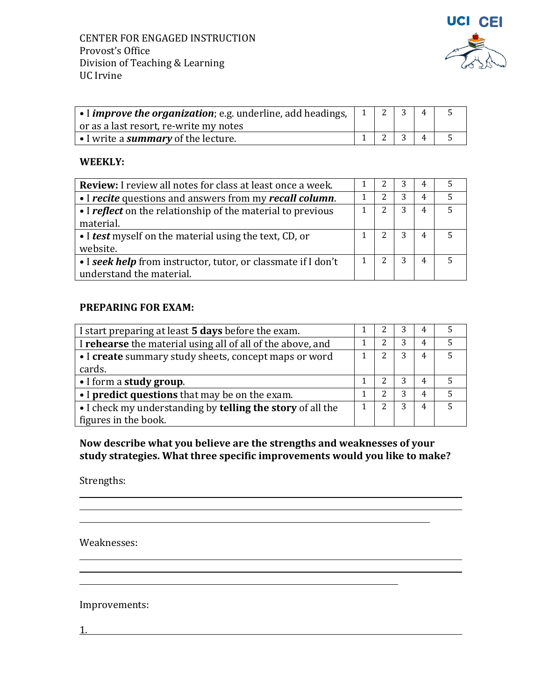

| $\vert\bullet\vert$ improve the organization; e.g. underline, add headings, $\vert\vert\vert\vert\vert$ |  |  |  |
|---------------------------------------------------------------------------------------------------------|--|--|--|
| or as a last resort, re-write my notes                                                                  |  |  |  |
| $\vert \cdot \vert$ write a <b>summary</b> of the lecture.                                              |  |  |  |

#### **WEEKLY:**

| <b>Review:</b> I review all notes for class at least once a week.                         |  |   |                |  |
|-------------------------------------------------------------------------------------------|--|---|----------------|--|
| • I recite questions and answers from my recall column.                                   |  | 3 | $\overline{4}$ |  |
| • I reflect on the relationship of the material to previous<br>material.                  |  | 3 | $\overline{4}$ |  |
| • I test myself on the material using the text, CD, or<br>website.                        |  | 3 | $\overline{4}$ |  |
| • I seek help from instructor, tutor, or classmate if I don't<br>understand the material. |  | 3 |                |  |

### **PREPARING FOR EXAM:**

| I start preparing at least 5 days before the exam.         |  | 3 | 4 |   |
|------------------------------------------------------------|--|---|---|---|
| I rehearse the material using all of all of the above, and |  | 3 | 4 |   |
| • I create summary study sheets, concept maps or word      |  | 3 | 4 | 5 |
| cards.                                                     |  |   |   |   |
| • I form a study group.                                    |  | 3 | 4 |   |
| • I predict questions that may be on the exam.             |  | 3 | 4 | 5 |
| • I check my understanding by telling the story of all the |  | 3 | 4 | 5 |
| figures in the book.                                       |  |   |   |   |

**Now describe what you believe are the strengths and weaknesses of your study strategies. What three specific improvements would you like to make?**

<u> 1989 - Johann Stoff, deutscher Stoffen und der Stoffen und der Stoffen und der Stoffen und der Stoffen und der</u>

<u> 1980 - Andrea Station Barbara, actor a component de la componentación de la componentación de la componentaci</u>

<u> 1989 - Johann Stoff, amerikansk politiker (d. 1989)</u>

Strengths:

Weaknesses:

Improvements:

1.